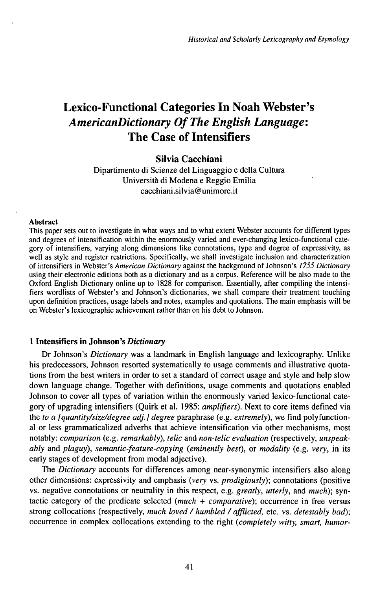# Lexico-Functional Categories In Noah Webster's *AmericanDictionary OfThe English Language:* The Case of Intensifiers

# **Silvia Cacchiani**

Dipartimento di Scienze del Linguaggio e della Cultura Università di Modena e Reggio Emilia cacchiani.silvia@unimore.it

#### **Abstract**

This paper sets out to investigate in what ways and to what extent Webster accounts for different types and degrees of intensification within the enormously varied and ever-changing lexico-functional category of intensifiers, varying along dimensions like connotations, type and degree of expressivity, as well as style and register restrictions. Specifically, we shall investigate inclusion and characterization of intensifiers in Webster's *American Dictionary* against the background ofJohnson's *1755 Dictionary* using their electronic editions both as a dictionary and as a corpus. Reference will be also made to the Oxford English Dictionary online up to 1828 for comparison. Essentially, after compiling the intensifiers wordlists of Webster's and Johnson's dictionaries, we shall compare their treatment touching upon definition practices, usage labels and notes, examples and quotations. The main emphasis will be on Webster's lexicographic achievement rather than on his debt to Johnson.

# **1 Intensifiers in Johnson's** *Dictionary*

Dr Johnson's *Dictionary* was a landmark in English language and lexicography. Unlike his predecessors, Johnson resorted systematically to usage comments and illustrative quotations from the best writers in order to set a standard of correct usage and style and help slow down language change. Together with definitions, usage comments and quotations enabled Johnson to cover all types of variation within the enormously varied lexico-functional category of upgrading intensifiers (Quirk et al. 1985: *amplifiers*). Next to core items defined via the *to a [quantity/size/degree adj.] degree* paraphrase (e.g. *extremely),* we find polyfunctional or less grammaticalized adverbs that achieve intensification via other mechanisms, most notably: *comparison* (e.g. *remarkably), telic* and *non-telic evaluation* (respectively, *unspeakably* and *plaguy), semantic-feature-copying {eminently best),* or *modality* (e.g. *very,* in its early stages of development from modal adjective).

The *Dictionary* accounts for differences among near-synonymic intensifiers also along other dimensions: expressivity and emphasis *(very* vs. *prodigiously);* connotations (positive vs. negative connotations or neutrality in this respect, e.g. *greatly, utterly,* and *much);* syntactic category of the predicate selected *(much + comparative);* occurrence in free versus strong collocations (respectively, *much loved / humbled / afflicted,* etc. vs. *detestably bad);* occurrence in complex collocations extending to the right *(completely witty, smart, humor-*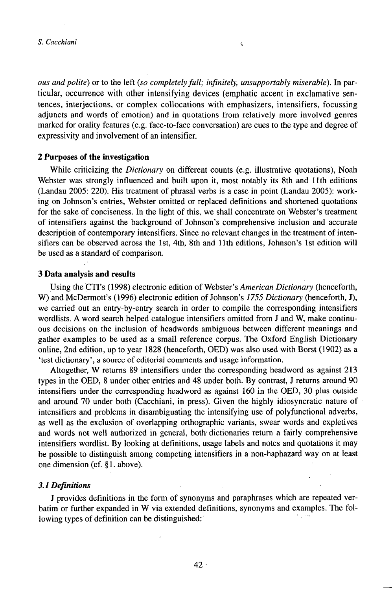*ous* and polite) or to the left (so completely full; infinitely, unsupportably miserable). In particular, occurrence with other intensifying devices (emphatic accent in exclamative sentences, interjections, or complex collocations with emphasizers, intensifiers, focussing adjuncts and words of emotion) and in quotations from relatively more involved genres marked for orality features (e.g. face-to-face conversation) are cues to the type and degree of expressivity and involvement of an intensifier.

 $\hat{\zeta}$ 

#### **2 Purposes of the investigation**

While criticizing the *Dictionary* on different counts (e.g. illustrative quotations), Noah Webster was strongly influenced and built upon it, most notably its 8th and llth editions  $(Landau 2005: 220)$ . His treatment of phrasal verbs is a case in point  $(Landau 2005)$ : working on Johnson's entries, Webster omitted or replaced definitions and shortened quotations for the sake of conciseness. In the light of this, we shall concentrate on Webster's treatment of intensifiers against the background of Johnson's comprehensive inclusion and accurate description of contemporary intensifiers. Since no relevant changes in the treatment of intensifiers can be observed across the 1st, 4th, 8th and llth editions, Johnson's 1st edition will be used as a standard of comparison.

# **3 Data analysis and results**

Using the CTI's (1998) electronic edition of Webster's *American Dictionary* (henceforth, W) and McDermott's (1996) electronic edition of Johnson's *1755 Dictionary* (henceforth, J), we carried out an entry-by-entry search in order to compile the corresponding intensifiers wordlists. A word search helped catalogue intensifiers omitted from J and W, make continuous decisions on the inclusion of headwords ambiguous between different meanings and gather examples to be used as a small reference corpus. The Oxford English Dictionary online, 2nd edition, up to year 1828 (henceforth, OED) was also used with Borst (1902) as a 'test dictionary', a source of editorial comments and usage information.

Altogether, W returns 89 intensifiers under the corresponding headword as against 213 types in the OED, 8 under other entries and 48 under both. By contrast, J returns around 90 intensifiers under the corresponding headword as against 160 in the OED, 30 plus outside and around 70 under both (Cacchiani, in press). Given the highly idiosyncratic nature of intensifiers and problems in disambiguating the intensifying use of polyfunctional adverbs, as well as the exclusion of overlapping orthographic variants, swear words and expletives and words not well authorized in general, both dictionaries return a fairly comprehensive intensifiers wordlist. By looking at definitions, usage labels and notes and quotations it may be possible to distinguish among competing intensifiers in a non-haphazard way on at least one dimension (cf. §1. above).

# *3.1Deflnitions*

J provides definitions in the form of synonyms and paraphrases which are repeated verbatim or further expanded in W via extended definitions, synonyms and examples. The following types of definition can be distinguished: '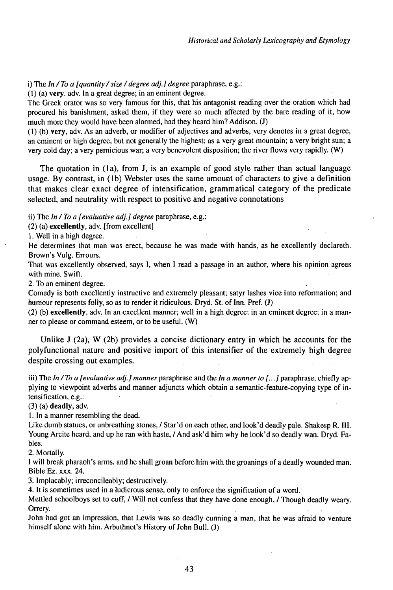i) The *In/To a [quantity/size/degree adj.] degree* paraphrase, e.g.:

(1) (a) very. adv. In a great degree; in an eminent degree.

The Greek orator was so very famous for this, that his antagonist reading over the oration which had procured his banishment, asked them, if they were so much affected by the bare reading of it, how much more they would have been alarmed, had they heard him? Addison. (J)

(1) (b) very, adv. As an adverb, or modifier of adjectives and adverbs, very denotes in a great degree, an eminent or high degree, but not generally the highest; as a very great mountain; a very bright sun; a very cold day; a very pernicious war; a very benevolent disposition; the river flows very rapidly. (W)

The quotation in (la), from J, is an example of good style rather than actual language usage. By contrast, in (lb) Webster uses the same amount of characters to give a definition that makes clear exact degree of intensification, grammatical category of the predicate selected, and neutrality with respect to positive and negative connotations

ii) The *In / To <sup>a</sup> [evaluative adj.] degree* paraphrase, e.g.:

(2) (a) excellently, adv. [from excellent]

1. Well in <sup>a</sup> high degree.

He determines that man was erect, because he was made with hands, as he excellently declareth. Brown's Vulg. Errours.

That was excellently observed, says I, when I read a passage in an author, where his opinion agrees with mine. Swift.

2. To an eminent degree.

Comedy is both excellently instructive and extremely pleasant; satyr lashes vice into reformation; and humour represents folly, so as to render it ridiculous. Dryd. St. of Inn. Pref. (J)

(2) (b) excellently, adv. In an excellent manner; well in a high degree; in an eminent degree; in a manner to please or command esteem, or to be useful. (W)

Unlike J (2a), W (2b) provides a concise dictionary entry in which he accounts for the polyfunctional nature and positive import of this intensifier of the extremely high degree despite crossing out examples.

iii) The *In/To a [evaluative adj.] manner* paraphrase and the *In a manner to [...]* paraphrase, chiefly applying to viewpoint adverbs and manner adjuncts which obtain a semantic-feature-copying type of intensification, e.g.:

(3) (a) deadly, adv.

1. In a manner resembling the dead.

Like dumb statues, or unbreathing stones, / Star'd on each other, and look'd deadly pale. Shakesp R. III. Young Arcite heard, and up he ran with haste, / And ask'd him why he look'd so deadly wan. Dryd. Fables.

2. Mortally.

I will break pharaoh's arms, and he shall groan before him with the groanings of a deadly wounded man. Bible Ez. xxx. 24.

3. Implacably; irreconcileably; destructively.

4. It is sometimes used in a ludicrous sense, only to enforce the signification of a word.

Mettled schoolboys set to cuff, / Will not confess that they have done enough, / Though deadly weary. Orrery.

John had got an impression, that Lewis was so deadly cunning a man, that he was afraid to venture himself alone with him. Arbuthnot's History of John Bull. (J)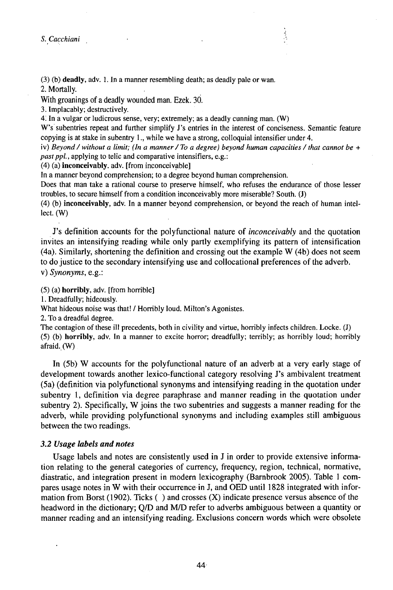(3) *•)* deadly, adv. 1. In <sup>a</sup> manner resembling death; as deadly pale or wan. 2. Mortally.

With groanings of a deadly wounded man. Ezek. 30.

3. Implacably; destructively.

*4.* In a vulgar or ludicrous sense, very; extremely; as a deadly cunning man. (W)

W's subentries repeat and further simplify J's entries in the interest of conciseness. Semantic feature copying is at stake in subentry 1., while we have a strong, colloquial intensifier under 4.

iv) *Beyond / without <sup>a</sup> limit; (In <sup>a</sup> manner/ To <sup>a</sup> degree) beyond human capacities /that cannot be <sup>+</sup> past ppl.,* applying to telic and comparative intensifiers, e.g.:

(4) (a) inconceivably, adv. [from inconceivable]

In a manner beyond comprehension; to a degree beyond human comprehension.

Does that man take a rational course to preserve himself, who refuses the endurance of those lesser troubles, to secure himself from a condition inconceivably more miserable? South. (J)

(4) (b) inconceivably, adv. In a manner beyond comprehension, or beyond the reach of human intellect. (W)

J's definition accounts for the polyfunctional nature of *inconceivably* and the quotation invites an intensifying reading while only partly exemplifying its pattern of intensification (4a). Similarly, shortening the definition and crossing out the example W (4b) does not seem to dojustice to the secondary intensifying use and collocational preferences ofthe adverb, v) *Synonyms,* e.g.:

(5) (a) horribly, adv. [from horrible]

1. Dreadfully; hideously.

What hideous noise was that! / Horribly loud. Milton's Agonistes.

2. To a dreadful degree.

The contagion of these ill precedents, both in civility and virtue, horribly infects children. Locke. (J) (5) (b) horribly, adv. In a manner to excite horror; dreadfully; terribly; as horribly loud; horribly afraid.(W)

In (5b) W accounts for the polyfunctional nature of an adverb at a very early stage of development towards another lexico-functional category resolving J's ambivalent treatment (5a) (definition via polyfunctional synonyms and intensifying reading in the quotation under subentry 1, definition via degree paraphrase and manner reading in the quotation under subentry 2). Specifically, W joins the two subentries and suggests a manner reading for the adverb, while providing polyfunctional synonyms and including examples still ambiguous between the two readings.

#### *3.2 Usage labels and notes*

Usage labels and notes are consistently used in J in order to provide extensive information relating to the general categories of currency, frequency, region, technical, normative, diastratic, and integration present in modern lexicography (Barnbrook 2005). Table <sup>1</sup> compares usage notes in W with their occurrencein J, and OED until 1828 integrated with information from Borst (1902). Ticks ( ) and crosses (X) indicate presence versus absence of the headword in the dictionary; Q/D and *MfD* refer to adverbs ambiguous between a quantity or manner reading and an intensifying reading. Exclusions concern words which were obsolete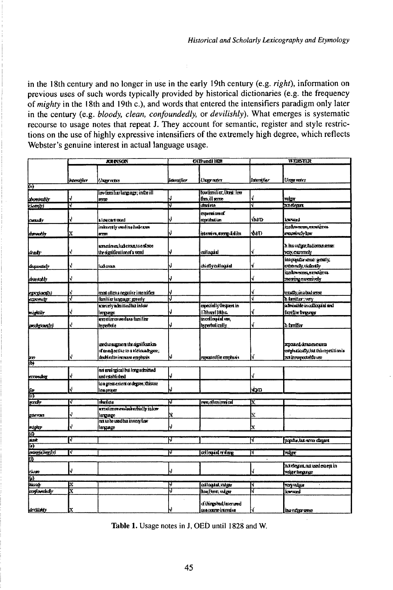in the 18th century and no longer in use in the early 19th century (e.g. *right),* information on previous uses of such words typically provided by historical dictionaries (e.g. the frequency *ofmighty* in the 18th and 19th c.), and words that entered the intensifiers paradigm only later in the century (e.g. *bloody, clean, confoundedly,* or *devilishly).* What emerges is systematic recourse to usage notes that repeat J. They account for semantic, register and style restrictions on the use of highly expressive intensifiers of the extremely high degree, which reflects Webster's genuine interest in actual language usage.

|                                   | <b>AREYSON</b> |                                                                             | <b>OID undi 1828</b> |                                | <b>WEISTER</b> |                                                                    |
|-----------------------------------|----------------|-----------------------------------------------------------------------------|----------------------|--------------------------------|----------------|--------------------------------------------------------------------|
|                                   |                |                                                                             |                      |                                |                |                                                                    |
|                                   |                |                                                                             |                      |                                |                |                                                                    |
|                                   | hamajiar       | <b>Longer reduct</b>                                                        | <b>Learnsferr</b>    | Usage nater                    | fanni 6er      | Ungerenten                                                         |
| М                                 |                | lov temlur largrace; in the ill                                             |                      | boxternlier, Dord; Jeer        |                |                                                                    |
|                                   | V              | genee                                                                       | ↓                    | finill sme                     | Ą              | min                                                                |
| bommodu<br>clambi                 | Y.             |                                                                             | Π                    | dudete                         | Ñ              | 20 Sept                                                            |
|                                   |                |                                                                             |                      |                                |                |                                                                    |
|                                   | V              | <b>Morrant rand</b>                                                         | J                    | <b>Contract</b><br>reprobation | vind           | kwwnd                                                              |
| kuwir                             |                |                                                                             |                      |                                |                | izabw <del>ana, mna</del> irta                                     |
|                                   | X              | inkertis medina lukeros                                                     | J                    |                                | DOT)           | enazimên box                                                       |
| kterver, ly                       |                | <b>BLTRE</b>                                                                |                      | alibgma svima id               |                |                                                                    |
|                                   |                | ametireen luheram toenkwo                                                   |                      |                                |                | b iza vrige, Ruikvonsense                                          |
| kladir                            | V              | the signification of a word                                                 | ¢                    | adlaquid                       | Ý              | very externely                                                     |
|                                   |                |                                                                             |                      |                                |                | its pauls and gettly,                                              |
| duparately                        | Ń              | عصفنا                                                                       | J                    | chellyculoxiu                  | ¥              | cemey,videnty                                                      |
|                                   |                |                                                                             |                      |                                |                | izakwana sandinta.                                                 |
| dweedh                            | Ý              |                                                                             | V                    |                                | 4              | morring committeey                                                 |
|                                   |                |                                                                             |                      |                                |                |                                                                    |
| exports and the                   | Ý              | most utiona negative intendifica                                            | Ų                    |                                | Ý              | ende, în dialerre                                                  |
| <b>CONVERT</b>                    | 7              | threllier language: greatly                                                 | J                    |                                | ī              | <b>b</b> furniture very                                            |
|                                   |                | scanely admitted has in low                                                 |                      | capacially Groupert in         |                | a treatde in a facult and                                          |
| mightily                          | ¢              | <b>Inser</b>                                                                |                      | [7therel] Bihc.                | ł              | further breasew                                                    |
|                                   |                | executos undas faciles                                                      |                      | incoloquial uso,               |                |                                                                    |
| prodgenciji                       | Ą              | Inpertoie                                                                   | J                    | hyperbolically.                | ſ              | d fondin                                                           |
|                                   |                | used to suggere in the signification.<br>of instalactive to a viciouslygee; |                      |                                |                | <b>separed densiescors</b><br>estploatics@), lauthis repetition in |
| <b>Rich</b>                       | Ý              | dadi cilininanan emphais                                                    | IJ                   | त्वकार्यालयात्रीकां            | ¢              | αν όλλυστρατή το πο                                                |
|                                   |                |                                                                             |                      |                                |                |                                                                    |
|                                   | ♦              | not eredogical but forgathristed<br><b>end</b> catabished                   | J                    |                                | ł.             |                                                                    |
| karondka                          |                | longresserit ordegree; this con-                                            |                      |                                |                |                                                                    |
|                                   | Ą              | lemproper                                                                   |                      |                                | ŴФ             |                                                                    |
| Ş                                 |                |                                                                             |                      |                                |                |                                                                    |
| <b><i><u>errd</u>r</i></b>        | ν              | ristate                                                                     | Ñ                    | त्त्व तीयासम्राज्ये            | N              |                                                                    |
|                                   |                | arretinesumlaherhisly inkw                                                  |                      |                                |                |                                                                    |
| gumas                             | Ą              | <b>Engage</b>                                                               | X                    |                                | Ń.             |                                                                    |
|                                   |                | na to be used his invery law                                                |                      |                                |                |                                                                    |
|                                   | Ý              | lengegr                                                                     |                      |                                | $\mathbf x$    |                                                                    |
| <b><i><u>kuptar</u></i></b><br>Ka |                |                                                                             |                      |                                |                |                                                                    |
| sak.                              | Τ              |                                                                             | IJ                   |                                | Ñ              | papadar, but never ellepant                                        |
| 冏                                 |                |                                                                             |                      |                                |                |                                                                    |
| <b>Exceptions</b><br>m            | Τ              |                                                                             | Π                    | <u>collegest restare</u>       | Ν              | न्दल                                                               |
|                                   |                |                                                                             |                      |                                |                |                                                                    |
|                                   | 4              |                                                                             | J                    |                                | Ą              | axiesesses, not used except in                                     |
| lewan<br>îβ.                      |                |                                                                             |                      |                                |                | rekar hinginge                                                     |
| <b>Sich</b>                       | N              |                                                                             | IJ                   | colloquial, vulgar             | Ñ              | rayntar                                                            |
| krafowdudy                        | X              |                                                                             | J                    | bon front; vidger              | T              | kwwad                                                              |
|                                   |                |                                                                             |                      | of things text leter used      |                |                                                                    |
| drilletr                          |                |                                                                             |                      | ssa convertimentive            | ₫              | <b>ESA VILLET STRO</b>                                             |

Table 1. Usage notes in J, OEĎ until 1828 and W.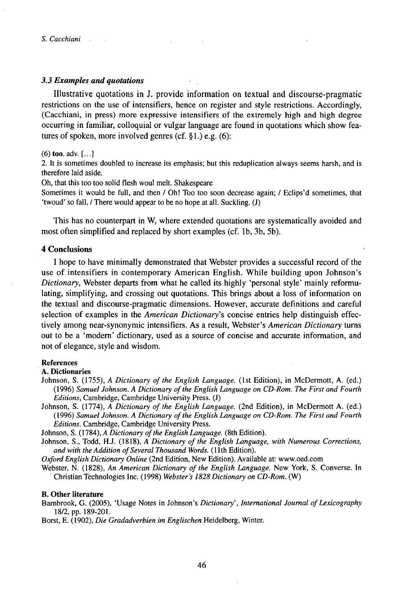# *3.3 Examples and quotations*

Illustrative quotations in J. provide information on textual and discourse-pragmatic restrictions on the use of intensifiers, hence on register and style restrictions. Accordingly, (Cacchiani, in press) more expressive intensifiers of the extremely high and high degree occurring in familiar, colloquial or vulgar language are found in quotations which show features of spoken, more involved genres (cf.  $\S$ 1.) e.g. (6):

#### $(6)$  too. adv.  $[...]$

2. It is sometimes doubled to increase its emphasis; but this reduplication always seems harsh, and is therefore laid aside.

Oh, that this too too solid flesh woul melt. Shakespeare

Sometimes it would be full, and then / Oh! Too too soon decrease again; / Eclips'd sometimes, that 'twoud' so fall, / There would appear to be no hope at all. Suckling. (J)

This has no counterpart in W, where extended quotations are systematically avoided and most often simplified and replaced by short examples (cf. lb, 3b, 5b).

# **4 Conclusions**

**I** hope to have minimally demonstrated that Webster provides a successful record of the use of intensifiers in contemporary American English. While building upon Johnson's *Dictionary,* Webster departs from what he called its highly 'personal style' mainly reformulating, simplifying, and crossing out quotations. This brings about a loss of information on the textual and discourse-pragmatic dimensions. However, accurate definitions and careful selection of examples in the *American Dictionary's* concise entries help distinguish effectively among near-synonymic intensifiers. As a result, Webster's *American Dictionary* turns out to be a 'modern' dictionary, used as a source of concise and accurate information, and not of elegance, style and wisdom.

## **References**

#### **A. Dictionaries**

- Johnson, S. (1755), *A Dictionary of the English Language*. (1st Edition), in McDermott, A. (ed.) (1996) *Samuel Johnson. A Dictionary ofthe English Language on CD-Rom. The First and Fourth Editions,* Cambridge, Cambridge University Press. (J)
- Johnson, S. (1774), *A Dictionary of the English Language.* (2nd Edition), in McDermott A. (ed.) (1996) *Samuel Johnson. A Dictionary ofthe English Language on CD-Rom. The First and Fourth Editions.* Cambridge, Cambridge University Press.

Johnson, S. (1784), *A Dictionary of the English Language.* (8th Edition).

Johnson, S., Todd, H.J. (1818), *A Dictionary ofthe English Language, with Numerous Corrections, and with theAddition ofSeveral Thousand Words.* (1 lth Edition).

*Oxford English Dictionary Online* (2nd Edition, New Edition). Available at: www.oed.com

Webster, N. (1828), An American Dictionary of the English Language. New York, S. Converse. In 'Christian Technologies Inc. (1998) *Webster's 1828 Dictionary on CD-Rom.* (W)

## **B. Other literature**

Barnbrook, G. (2005), 'Usage Notes in Johnson's *Dictionary', International Journal ofLexicography* 18/2,pp. 189-201.

Borst, E. (1902), *Die Gradadverbien im Englischen* Heidelberg, Winter.